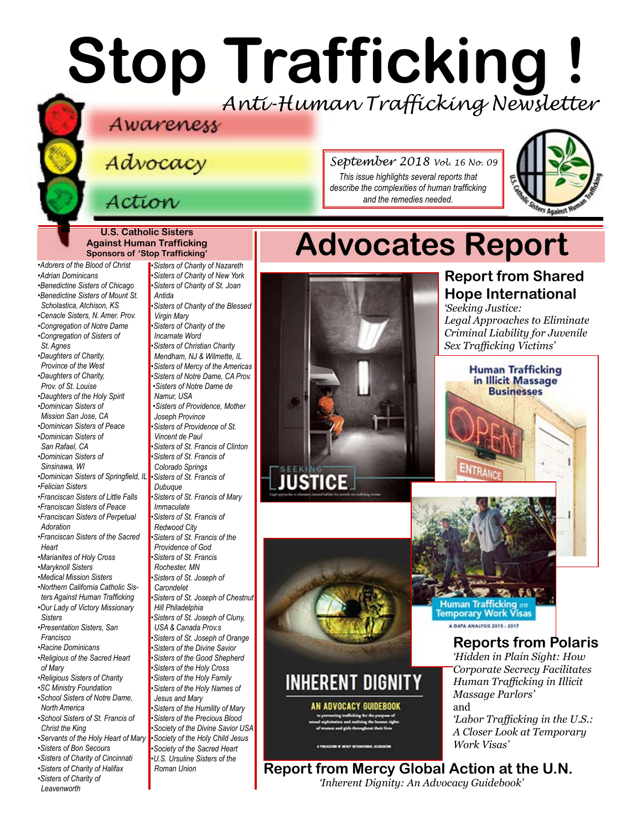# **Stop Trafficking !** *Anti-Human Trafficking Newsletter*

Advocacy

### Action

*September 2018 Vol. 16 No. 09 This issue highlights several reports that describe the complexities of human trafficking and the remedies needed.*



#### **U.S. Catholic Sisters Against Human Trafficking Sponsors of 'Stop Trafficking'**

*•Adorers of the Blood of Christ •Adrian Dominicans •Benedictine Sisters of Chicago •Benedictine Sisters of Mount St. Scholastica, Atchison, KS •Cenacle Sisters, N. Amer. Prov. •Congregation of Notre Dame •Congregation of Sisters of St. Agnes •Daughters of Charity, Province of the West •Daughters of Charity, Prov. of St. Louise*

*[•Daughters of the Holy Spirit](http://www.daughtersoftheholyspirit.org/) •Dominican Sisters of* 

- *Mission San Jose, CA*
- *•Dominican Sisters of Peace •Dominican Sisters of*
- *San Rafael, CA •Dominican Sisters of*
- *Sinsinawa, WI •[Dominican Sisters of Springfield, IL](http://springfieldop.org/)*
- *•Felician Sisters*
- *•Franciscan Sisters of Little Falls*
- *•Franciscan Sisters of Peace*
- *•Franciscan Sisters of Perpetual Adoration*
- *[•Franciscan Sisters of the Sacred](http://www.fssh.com)  [Heart](http://www.fssh.com)*
- *•Marianites of Holy Cross*
- *•Maryknoll Sisters*

*[•Medical Mission Sisters](http://www.medicalmissionsisters.org/)*

*•Northern California Catholic Sisters Against Human Trafficking •Our Lady of Victory Missionary* 

- *Sisters •Presentation Sisters, San*
- *Francisco [•Racine Dominicans](https://www.racinedominicans.org)*
- *•Religious of the Sacred Heart of Mary*
- *•Religious Sisters of Charity*
- *[•SC Ministry Foundation](http://www.scministryfdn.org)*
- *•School Sisters of Notre Dame, North America*
- *•School Sisters of St. Francis of Christ the King*
- *[•Servants of the Holy Heart of Mary](http://www.sscm-usa.org/)*
- *[•Sisters of B](http://bonsecours.org)on Secours*
- *•Sisters of Charity of Cincinnati •Sisters of Charity of Halifax*
- *•Sisters of Charity of*
- *Leavenworth*

*•Sisters of Charity of Nazareth •Sisters of Charity of New York •Sisters of Charity of St. Joan Antida [•Sisters of Charity of the Blessed](http://www.bvmcong.org/)  [Virgin Mary](http://www.bvmcong.org/) [•Sisters of Charity of the](http://www.sistersofcharity.org/)  [Incarnate Word](http://www.sistersofcharity.org/) •Sisters of Christian Charity Mendham, NJ & Wilmette, IL •Sisters of Mercy of the Americas •Sisters of Notre Dame, CA Prov. •Sisters of Notre Dame de Namur, USA [•Sisters of Providence, Mother](http://sistersofprovidence.net/)  [Joseph Province](http://sistersofprovidence.net/) •Sisters of Providence of St. Vincent de Paul •Sisters of St. Francis of Clinton •Sisters of St. Francis of Colorado Springs •Sisters of St. Francis of Dubuque [•Sisters of St. Francis of](http://www.jolietfranciscans.org/) Mary Immaculate •Sisters of St. Francis of Redwood City •Sisters of St. Francis of the Providence of God [•Sisters of St. Francis](https://www.rochesterfranciscan.org/what-we-do/justice-and-peace/human-rights-issues.html)  [Rochester, MN](https://www.rochesterfranciscan.org/what-we-do/justice-and-peace/human-rights-issues.html) •Sisters of St. Joseph of Carondelet •Sisters of St. Joseph of Chestnut Hill Philadelphia •Sisters of St. Joseph of Cluny, USA & Canada Prov.s •Sisters of St. Joseph of Orange •Sisters of the Divine Savior •Sisters of the Good Shepherd •Sisters of the Holy Cross •Sisters of the Holy Family •Sisters of the Holy Names of Jesus and Mary •Sisters of the Humility of Mary •Sisters of the Precious Blood •Society of the Divine Savior USA •Society of the Holy Child Jesus [•Society of the S](https://rscj.org/)acred Heart [•U.S. Ursuline Sisters of the](http://usaromanunionursulines.org/)* 

*[Roman Union](http://usaromanunionursulines.org/)*



INHERENT DIGNITY

AN ADVOCACY GUIDEBOOK

## **Advocates Report**

**Report from Shared Hope International**

*'Seeking Justice: Legal Approaches to Eliminate Criminal Liability for Juvenile Sex Trafficking Victims'*

> **Human Trafficking** in Illicit Massage **Businesses**

## **PO. 7.1** Human Trafficking on<br>Temporary Work Visas A DATA ANALYSIS 2015 - 2017

ENTRA

**Reports from Polaris** *'Hidden in Plain Sight: How Corporate Secrecy Facilitates Human Trafficking in Illicit* 

*Massage Parlors'* and *'Labor Trafficking in the U.S.: A Closer Look at Temporary Work Visas'*

**Report from Mercy Global Action at the U.N.** *'Inherent Dignity: An Advocacy Guidebook'*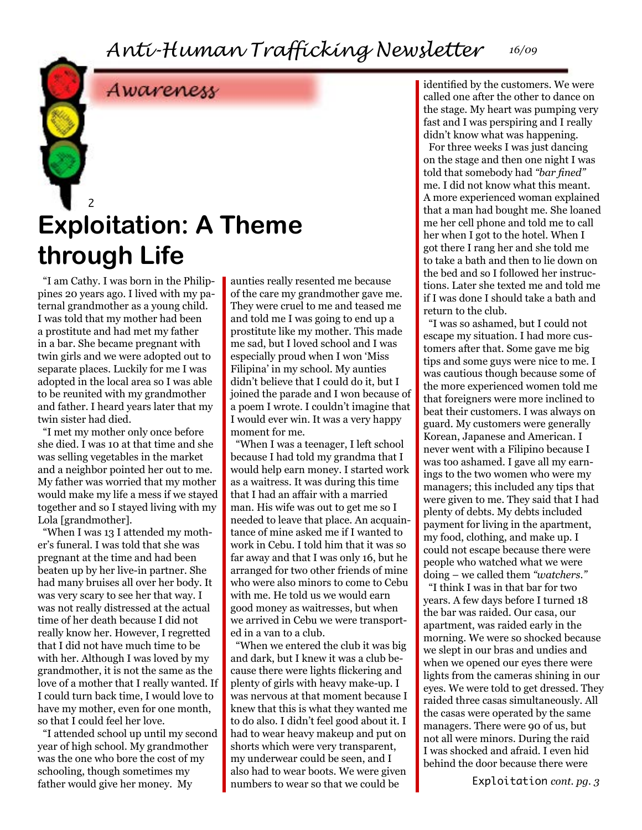### Awareness

### 2 **Exploitation: A Theme through Life**

"I am Cathy. I was born in the Philippines 20 years ago. I lived with my paternal grandmother as a young child. I was told that my mother had been a prostitute and had met my father in a bar. She became pregnant with twin girls and we were adopted out to separate places. Luckily for me I was adopted in the local area so I was able to be reunited with my grandmother and father. I heard years later that my twin sister had died.

"I met my mother only once before she died. I was 10 at that time and she was selling vegetables in the market and a neighbor pointed her out to me. My father was worried that my mother would make my life a mess if we stayed together and so I stayed living with my Lola [grandmother].

"When I was 13 I attended my mother's funeral. I was told that she was pregnant at the time and had been beaten up by her live-in partner. She had many bruises all over her body. It was very scary to see her that way. I was not really distressed at the actual time of her death because I did not really know her. However, I regretted that I did not have much time to be with her. Although I was loved by my grandmother, it is not the same as the love of a mother that I really wanted. If I could turn back time, I would love to have my mother, even for one month, so that I could feel her love.

"I attended school up until my second year of high school. My grandmother was the one who bore the cost of my schooling, though sometimes my father would give her money. My

aunties really resented me because of the care my grandmother gave me. They were cruel to me and teased me and told me I was going to end up a prostitute like my mother. This made me sad, but I loved school and I was especially proud when I won 'Miss Filipina' in my school. My aunties didn't believe that I could do it, but I joined the parade and I won because of a poem I wrote. I couldn't imagine that I would ever win. It was a very happy moment for me.

"When I was a teenager, I left school because I had told my grandma that I would help earn money. I started work as a waitress. It was during this time that I had an affair with a married man. His wife was out to get me so I needed to leave that place. An acquaintance of mine asked me if I wanted to work in Cebu. I told him that it was so far away and that I was only 16, but he arranged for two other friends of mine who were also minors to come to Cebu with me. He told us we would earn good money as waitresses, but when we arrived in Cebu we were transported in a van to a club.

"When we entered the club it was big and dark, but I knew it was a club because there were lights flickering and plenty of girls with heavy make-up. I was nervous at that moment because I knew that this is what they wanted me to do also. I didn't feel good about it. I had to wear heavy makeup and put on shorts which were very transparent, my underwear could be seen, and I also had to wear boots. We were given numbers to wear so that we could be

identified by the customers. We were called one after the other to dance on the stage. My heart was pumping very fast and I was perspiring and I really didn't know what was happening. For three weeks I was just dancing on the stage and then one night I was told that somebody had *"bar fined"*  me. I did not know what this meant. A more experienced woman explained that a man had bought me. She loaned me her cell phone and told me to call her when I got to the hotel. When I got there I rang her and she told me to take a bath and then to lie down on the bed and so I followed her instructions. Later she texted me and told me if I was done I should take a bath and return to the club.

"I was so ashamed, but I could not escape my situation. I had more customers after that. Some gave me big tips and some guys were nice to me. I was cautious though because some of the more experienced women told me that foreigners were more inclined to beat their customers. I was always on guard. My customers were generally Korean, Japanese and American. I never went with a Filipino because I was too ashamed. I gave all my earnings to the two women who were my managers; this included any tips that were given to me. They said that I had plenty of debts. My debts included payment for living in the apartment, my food, clothing, and make up. I could not escape because there were people who watched what we were doing – we called them *"watchers."*

"I think I was in that bar for two years. A few days before I turned 18 the bar was raided. Our casa, our apartment, was raided early in the morning. We were so shocked because we slept in our bras and undies and when we opened our eyes there were lights from the cameras shining in our eyes. We were told to get dressed. They raided three casas simultaneously. All the casas were operated by the same managers. There were 90 of us, but not all were minors. During the raid I was shocked and afraid. I even hid behind the door because there were

Exploitation *cont. pg. 3*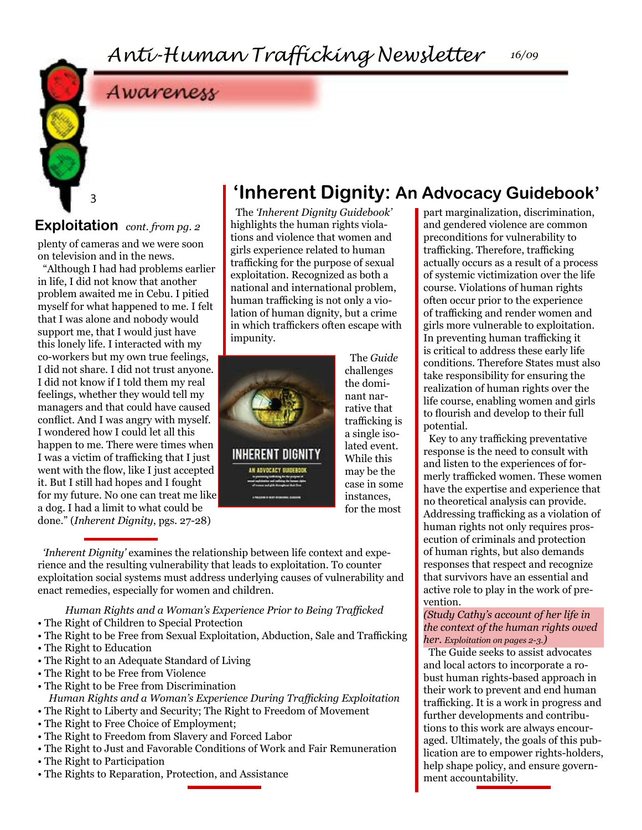#### *16/09*

### Awareness

#### **Exploitation** *cont. from pg. 2*

3

plenty of cameras and we were soon on television and in the news.

"Although I had had problems earlier in life, I did not know that another problem awaited me in Cebu. I pitied myself for what happened to me. I felt that I was alone and nobody would support me, that I would just have this lonely life. I interacted with my co-workers but my own true feelings, I did not share. I did not trust anyone. I did not know if I told them my real feelings, whether they would tell my managers and that could have caused conflict. And I was angry with myself. I wondered how I could let all this happen to me. There were times when I was a victim of trafficking that I just went with the flow, like I just accepted it. But I still had hopes and I fought for my future. No one can treat me like a dog. I had a limit to what could be done." (*Inherent Dignity*, pgs. 27-28)

### **'Inherent Dignity: An Advocacy Guidebook'**

The *'Inherent Dignity Guidebook'*  highlights the human rights violations and violence that women and girls experience related to human trafficking for the purpose of sexual exploitation. Recognized as both a national and international problem, human trafficking is not only a violation of human dignity, but a crime in which traffickers often escape with impunity.



The *Guide* challenges the dominant narrative that trafficking is a single isolated event. While this may be the case in some instances, for the most

*'Inherent Dignity'* examines the relationship between life context and experience and the resulting vulnerability that leads to exploitation. To counter exploitation social systems must address underlying causes of vulnerability and enact remedies, especially for women and children.

*Human Rights and a Woman's Experience Prior to Being Trafficked* • The Right of Children to Special Protection

- The Right to be Free from Sexual Exploitation, Abduction, Sale and Trafficking
- The Right to Education
- The Right to an Adequate Standard of Living
- The Right to be Free from Violence
- The Right to be Free from Discrimination
- *Human Rights and a Woman's Experience During Trafficking Exploitation*
- The Right to Liberty and Security; The Right to Freedom of Movement
- The Right to Free Choice of Employment;
- The Right to Freedom from Slavery and Forced Labor
- The Right to Just and Favorable Conditions of Work and Fair Remuneration
- The Right to Participation
- The Rights to Reparation, Protection, and Assistance

part marginalization, discrimination, and gendered violence are common preconditions for vulnerability to trafficking. Therefore, trafficking actually occurs as a result of a process of systemic victimization over the life course. Violations of human rights often occur prior to the experience of trafficking and render women and girls more vulnerable to exploitation. In preventing human trafficking it is critical to address these early life conditions. Therefore States must also take responsibility for ensuring the realization of human rights over the life course, enabling women and girls to flourish and develop to their full potential.

Key to any trafficking preventative response is the need to consult with and listen to the experiences of formerly trafficked women. These women have the expertise and experience that no theoretical analysis can provide. Addressing trafficking as a violation of human rights not only requires prosecution of criminals and protection of human rights, but also demands responses that respect and recognize that survivors have an essential and active role to play in the work of prevention.

#### *(Study Cathy's account of her life in the context of the human rights owed her. Exploitation on pages 2-3.)*

The Guide seeks to assist advocates and local actors to incorporate a robust human rights-based approach in their work to prevent and end human trafficking. It is a work in progress and further developments and contributions to this work are always encouraged. Ultimately, the goals of this publication are to empower rights-holders, help shape policy, and ensure government accountability.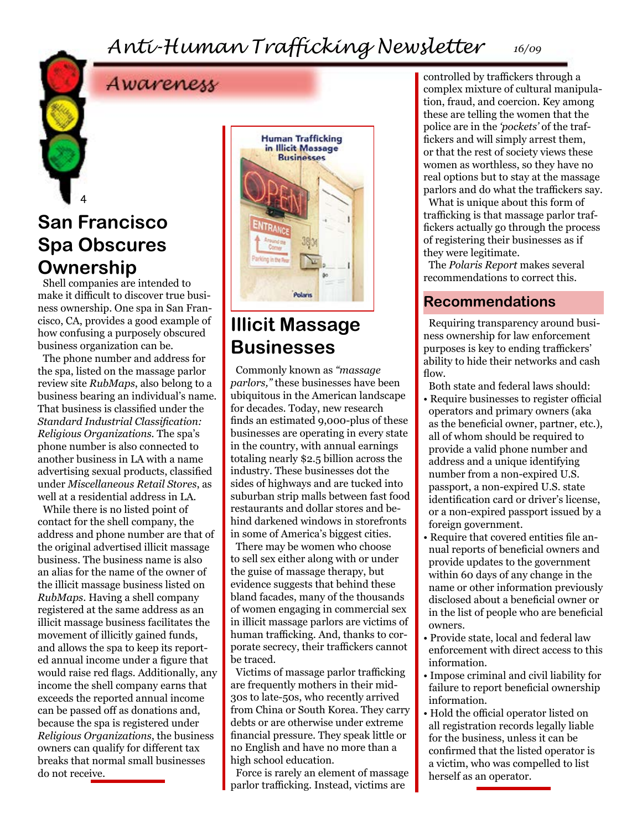### Awareness

### **San Francisco Spa Obscures Ownership**

4

Shell companies are intended to make it difficult to discover true business ownership. One spa in San Francisco, CA, provides a good example of how confusing a purposely obscured business organization can be.

The phone number and address for the spa, listed on the massage parlor review site *RubMaps*, also belong to a business bearing an individual's name. That business is classified under the *Standard Industrial Classification: Religious Organizations.* The spa's phone number is also connected to another business in LA with a name advertising sexual products, classified under *Miscellaneous Retail Stores*, as well at a residential address in LA.

While there is no listed point of contact for the shell company, the address and phone number are that of the original advertised illicit massage business. The business name is also an alias for the name of the owner of the illicit massage business listed on *RubMaps*. Having a shell company registered at the same address as an illicit massage business facilitates the movement of illicitly gained funds, and allows the spa to keep its reported annual income under a figure that would raise red flags. Additionally, any income the shell company earns that exceeds the reported annual income can be passed off as donations and, because the spa is registered under *Religious Organizations*, the business owners can qualify for different tax breaks that normal small businesses do not receive.



### **Illicit Massage Businesses**

Commonly known as *"massage parlors,"* these businesses have been ubiquitous in the American landscape for decades. Today, new research finds an estimated 9,000-plus of these businesses are operating in every state in the country, with annual earnings totaling nearly \$2.5 billion across the industry. These businesses dot the sides of highways and are tucked into suburban strip malls between fast food restaurants and dollar stores and behind darkened windows in storefronts in some of America's biggest cities.

There may be women who choose to sell sex either along with or under the guise of massage therapy, but evidence suggests that behind these bland facades, many of the thousands of women engaging in commercial sex in illicit massage parlors are victims of human trafficking. And, thanks to corporate secrecy, their traffickers cannot be traced.

Victims of massage parlor trafficking are frequently mothers in their mid-30s to late-50s, who recently arrived from China or South Korea. They carry debts or are otherwise under extreme financial pressure. They speak little or no English and have no more than a high school education.

Force is rarely an element of massage parlor trafficking. Instead, victims are

controlled by traffickers through a complex mixture of cultural manipulation, fraud, and coercion. Key among these are telling the women that the police are in the *'pockets'* of the traffickers and will simply arrest them, or that the rest of society views these women as worthless, so they have no real options but to stay at the massage parlors and do what the traffickers say.

What is unique about this form of trafficking is that massage parlor traffickers actually go through the process of registering their businesses as if they were legitimate.

The *Polaris Report* makes several recommendations to correct this.

#### **Recommendations**

Requiring transparency around business ownership for law enforcement purposes is key to ending traffickers' ability to hide their networks and cash flow.

Both state and federal laws should:

- Require businesses to register official operators and primary owners (aka as the beneficial owner, partner, etc.), all of whom should be required to provide a valid phone number and address and a unique identifying number from a non-expired U.S. passport, a non-expired U.S. state identification card or driver's license, or a non-expired passport issued by a foreign government.
- Require that covered entities file annual reports of beneficial owners and provide updates to the government within 60 days of any change in the name or other information previously disclosed about a beneficial owner or in the list of people who are beneficial owners.
- Provide state, local and federal law enforcement with direct access to this information.
- Impose criminal and civil liability for failure to report beneficial ownership information.
- Hold the official operator listed on all registration records legally liable for the business, unless it can be confirmed that the listed operator is a victim, who was compelled to list herself as an operator.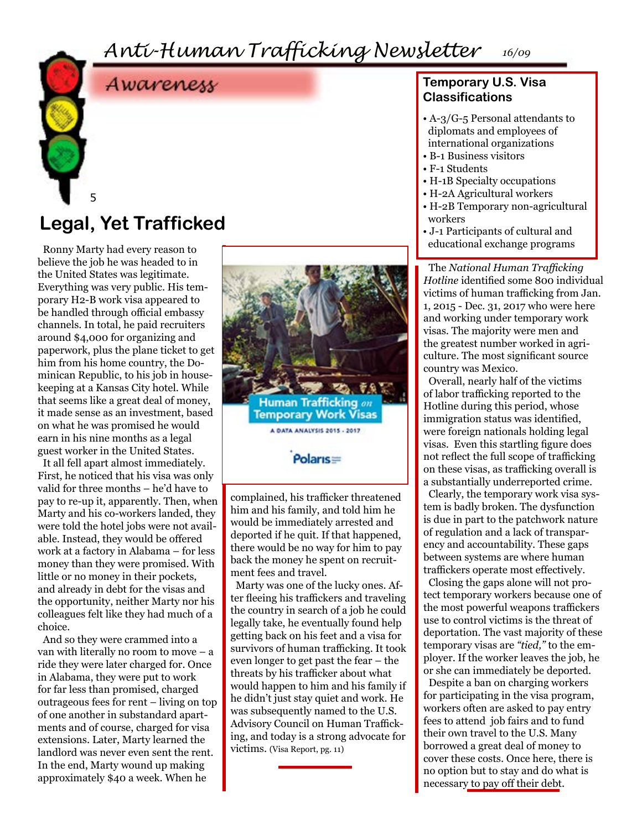### Awareness

### **Legal, Yet Trafficked**

5

Ronny Marty had every reason to believe the job he was headed to in the United States was legitimate. Everything was very public. His temporary H2-B work visa appeared to be handled through official embassy channels. In total, he paid recruiters around \$4,000 for organizing and paperwork, plus the plane ticket to get him from his home country, the Dominican Republic, to his job in housekeeping at a Kansas City hotel. While that seems like a great deal of money, it made sense as an investment, based on what he was promised he would earn in his nine months as a legal guest worker in the United States.

It all fell apart almost immediately. First, he noticed that his visa was only valid for three months – he'd have to pay to re-up it, apparently. Then, when Marty and his co-workers landed, they were told the hotel jobs were not available. Instead, they would be offered work at a factory in Alabama – for less money than they were promised. With little or no money in their pockets, and already in debt for the visas and the opportunity, neither Marty nor his colleagues felt like they had much of a choice.

And so they were crammed into a van with literally no room to move – a ride they were later charged for. Once in Alabama, they were put to work for far less than promised, charged outrageous fees for rent – living on top of one another in substandard apartments and of course, charged for visa extensions. Later, Marty learned the landlord was never even sent the rent. In the end, Marty wound up making approximately \$40 a week. When he



him and his family, and told him he would be immediately arrested and deported if he quit. If that happened, there would be no way for him to pay back the money he spent on recruitment fees and travel.

Marty was one of the lucky ones. After fleeing his traffickers and traveling the country in search of a job he could legally take, he eventually found help getting back on his feet and a visa for survivors of human trafficking. It took even longer to get past the fear – the threats by his trafficker about what would happen to him and his family if he didn't just stay quiet and work. He was subsequently named to the U.S. Advisory Council on Human Trafficking, and today is a strong advocate for victims. (Visa Report, pg. 11)

#### **Temporary U.S. Visa Classifications**

- A-3/G-5 Personal attendants to diplomats and employees of international organizations
- B-1 Business visitors
- F-1 Students
- H-1B Specialty occupations
- H-2A Agricultural workers
- H-2B Temporary non-agricultural workers
- J-1 Participants of cultural and educational exchange programs

The *National Human Trafficking Hotline* identified some 800 individual victims of human trafficking from Jan. 1, 2015 - Dec. 31, 2017 who were here and working under temporary work visas. The majority were men and the greatest number worked in agriculture. The most significant source country was Mexico.

Overall, nearly half of the victims of labor trafficking reported to the Hotline during this period, whose immigration status was identified, were foreign nationals holding legal visas. Even this startling figure does not reflect the full scope of trafficking on these visas, as trafficking overall is a substantially underreported crime.

Clearly, the temporary work visa system is badly broken. The dysfunction is due in part to the patchwork nature of regulation and a lack of transparency and accountability. These gaps between systems are where human traffickers operate most effectively.

Closing the gaps alone will not protect temporary workers because one of the most powerful weapons traffickers use to control victims is the threat of deportation. The vast majority of these temporary visas are *"tied,"* to the employer. If the worker leaves the job, he or she can immediately be deported.

Despite a ban on charging workers for participating in the visa program, workers often are asked to pay entry fees to attend job fairs and to fund their own travel to the U.S. Many borrowed a great deal of money to cover these costs. Once here, there is no option but to stay and do what is necessary to pay off their debt.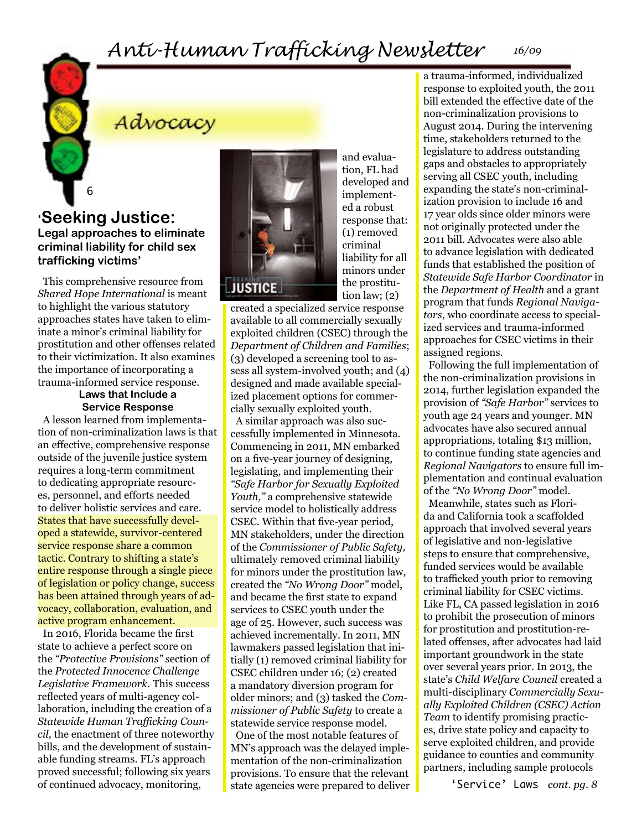### Advocacy

**'Seeking Justice: Legal approaches to eliminate criminal liability for child sex trafficking victims'**

6

This comprehensive resource from *Shared Hope International* is meant to highlight the various statutory approaches states have taken to eliminate a minor's criminal liability for prostitution and other offenses related to their victimization. It also examines the importance of incorporating a trauma-informed service response.

#### **Laws that Include a Service Response**

A lesson learned from implementation of non-criminalization laws is that an effective, comprehensive response outside of the juvenile justice system requires a long-term commitment to dedicating appropriate resources, personnel, and efforts needed to deliver holistic services and care. States that have successfully developed a statewide, survivor-centered service response share a common tactic. Contrary to shifting a state's entire response through a single piece of legislation or policy change, success has been attained through years of advocacy, collaboration, evaluation, and active program enhancement.

In 2016, Florida became the first state to achieve a perfect score on the *"Protective Provisions" s*ection of the *Protected Innocence Challenge Legislative Framework.* This success reflected years of multi-agency collaboration, including the creation of a *Statewide Human Trafficking Council,* the enactment of three noteworthy bills, and the development of sustainable funding streams. FL's approach proved successful; following six years of continued advocacy, monitoring,



and evaluation, FL had developed and implemented a robust response that: (1) removed criminal liability for all minors under the prostitution law; (2)

created a specialized service response available to all commercially sexually exploited children (CSEC) through the *Department of Children and Families*; (3) developed a screening tool to assess all system-involved youth; and (4) designed and made available specialized placement options for commercially sexually exploited youth.

A similar approach was also successfully implemented in Minnesota. Commencing in 2011, MN embarked on a five-year journey of designing, legislating, and implementing their *"Safe Harbor for Sexually Exploited Youth,"* a comprehensive statewide service model to holistically address CSEC. Within that five-year period, MN stakeholders, under the direction of the *Commissioner of Public Safety,*  ultimately removed criminal liability for minors under the prostitution law, created the *"No Wrong Door"* model, and became the first state to expand services to CSEC youth under the age of 25. However, such success was achieved incrementally. In 2011, MN lawmakers passed legislation that initially (1) removed criminal liability for CSEC children under 16; (2) created a mandatory diversion program for older minors; and (3) tasked the *Commissioner of Public Safety* to create a statewide service response model.

One of the most notable features of MN's approach was the delayed implementation of the non-criminalization provisions. To ensure that the relevant state agencies were prepared to deliver a trauma-informed, individualized response to exploited youth, the 2011 bill extended the effective date of the non-criminalization provisions to August 2014. During the intervening time, stakeholders returned to the legislature to address outstanding gaps and obstacles to appropriately serving all CSEC youth, including expanding the state's non-criminalization provision to include 16 and 17 year olds since older minors were not originally protected under the 2011 bill. Advocates were also able to advance legislation with dedicated funds that established the position of *Statewide Safe Harbor Coordinator* in the *Department of Health* and a grant program that funds *Regional Navigators*, who coordinate access to specialized services and trauma-informed approaches for CSEC victims in their assigned regions.

Following the full implementation of the non-criminalization provisions in 2014, further legislation expanded the provision of *"Safe Harbor"* services to youth age 24 years and younger. MN advocates have also secured annual appropriations, totaling \$13 million, to continue funding state agencies and *Regional Navigators* to ensure full implementation and continual evaluation of the *"No Wrong Door"* model.

Meanwhile, states such as Florida and California took a scaffolded approach that involved several years of legislative and non-legislative steps to ensure that comprehensive, funded services would be available to trafficked youth prior to removing criminal liability for CSEC victims. Like FL, CA passed legislation in 2016 to prohibit the prosecution of minors for prostitution and prostitution-related offenses, after advocates had laid important groundwork in the state over several years prior. In 2013, the state's *Child Welfare Council* created a multi-disciplinary *Commercially Sexually Exploited Children (CSEC) Action Team* to identify promising practices, drive state policy and capacity to serve exploited children, and provide guidance to counties and community partners, including sample protocols

'Service' Laws *cont. pg. 8*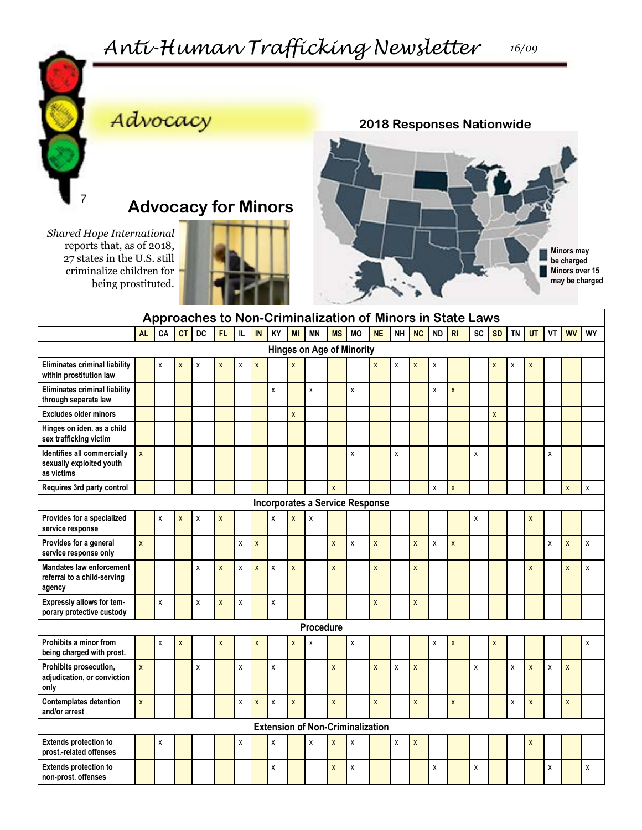

*Shared Hope International*  reports that, as of 2018, 27 states in the U.S. still criminalize children for being prostituted.

### Advocacy

**Advocacy for Minors**



|                                                                          | Approaches to Non-Criminalization of Minors in State Laws |    |              |    |                    |                    |                    |              |                    |           |                    |                                         |                    |                    |                           |                    |                           |    |                    |           |              |    |                    |              |
|--------------------------------------------------------------------------|-----------------------------------------------------------|----|--------------|----|--------------------|--------------------|--------------------|--------------|--------------------|-----------|--------------------|-----------------------------------------|--------------------|--------------------|---------------------------|--------------------|---------------------------|----|--------------------|-----------|--------------|----|--------------------|--------------|
|                                                                          | <b>AL</b>                                                 | CA | <b>CT</b>    | DC | FL.                | IL.                | IN                 | KY           | MI                 | <b>MN</b> | <b>MS</b>          | <b>MO</b>                               | <b>NE</b>          | NH                 | <b>NC</b>                 | $\sf ND$           | R <sub>l</sub>            | SC | SD                 | <b>TN</b> | UT           | VT | <b>WV</b>          | WY           |
| <b>Hinges on Age of Minority</b>                                         |                                                           |    |              |    |                    |                    |                    |              |                    |           |                    |                                         |                    |                    |                           |                    |                           |    |                    |           |              |    |                    |              |
| Eliminates criminal liability<br>within prostitution law                 |                                                           | X  | X            | Χ  | X                  | X                  | $\pmb{\mathsf{X}}$ |              | X                  |           |                    |                                         | $\mathsf{x}$       | X                  | $\mathsf{x}$              | χ                  |                           |    | $\pmb{\mathsf{X}}$ | χ         | X            |    |                    |              |
| <b>Eliminates criminal liability</b><br>through separate law             |                                                           |    |              |    |                    |                    |                    | X            |                    | X         |                    | X                                       |                    |                    |                           | X                  | $\boldsymbol{\mathsf{x}}$ |    |                    |           |              |    |                    |              |
| <b>Excludes older minors</b>                                             |                                                           |    |              |    |                    |                    |                    |              | $\pmb{\mathsf{X}}$ |           |                    |                                         |                    |                    |                           |                    |                           |    | $\mathsf{x}$       |           |              |    |                    |              |
| Hinges on iden. as a child<br>sex trafficking victim                     |                                                           |    |              |    |                    |                    |                    |              |                    |           |                    |                                         |                    |                    |                           |                    |                           |    |                    |           |              |    |                    |              |
| Identifies all commercially<br>sexually exploited youth<br>as victims    | $\mathsf{x}$                                              |    |              |    |                    |                    |                    |              |                    |           |                    | χ                                       |                    | X                  |                           |                    |                           | X  |                    |           |              | χ  |                    |              |
| Requires 3rd party control                                               |                                                           |    |              |    |                    |                    |                    |              |                    |           | $\pmb{\mathsf{x}}$ |                                         |                    |                    |                           | $\pmb{\mathsf{X}}$ | $\mathsf{x}$              |    |                    |           |              |    | $\mathbf{x}$       | X            |
| <b>Incorporates a Service Response</b>                                   |                                                           |    |              |    |                    |                    |                    |              |                    |           |                    |                                         |                    |                    |                           |                    |                           |    |                    |           |              |    |                    |              |
| Provides for a specialized<br>service response                           |                                                           | X  | X            | X  | X                  |                    |                    | χ            | X                  | X         |                    |                                         |                    |                    |                           |                    |                           | X  |                    |           | X            |    |                    |              |
| Provides for a general<br>service response only                          | $\mathsf{x}$                                              |    |              |    |                    | X                  | $\pmb{\mathsf{X}}$ |              |                    |           | $\pmb{\mathsf{X}}$ | X                                       | $\pmb{\mathsf{X}}$ |                    | $\boldsymbol{\mathsf{x}}$ | $\pmb{\mathsf{X}}$ | $\pmb{\mathsf{X}}$        |    |                    |           |              | χ  | $\pmb{\mathsf{x}}$ | χ            |
| <b>Mandates law enforcement</b><br>referral to a child-serving<br>agency |                                                           |    |              | X  | $\mathsf{x}$       | $\mathbf x$        | $\mathbf{x}$       | $\mathbf{x}$ | X                  |           | $\mathsf{x}$       |                                         | $\mathbf{x}$       |                    | $\mathsf{x}$              |                    |                           |    |                    |           | $\mathsf{x}$ |    | $\mathsf{x}$       | $\mathsf{x}$ |
| Expressly allows for tem-<br>porary protective custody                   |                                                           | Χ  |              | X  | $\pmb{\mathsf{X}}$ | χ                  |                    | X            |                    |           |                    |                                         | $\pmb{\mathsf{X}}$ |                    | $\boldsymbol{\mathsf{x}}$ |                    |                           |    |                    |           |              |    |                    |              |
| Procedure                                                                |                                                           |    |              |    |                    |                    |                    |              |                    |           |                    |                                         |                    |                    |                           |                    |                           |    |                    |           |              |    |                    |              |
| Prohibits a minor from<br>being charged with prost.                      |                                                           | X  | $\mathsf{x}$ |    | X                  |                    | $\mathsf{x}$       |              | $\mathsf{x}$       | X         |                    | X                                       |                    |                    |                           | X                  | $\mathsf{x}$              |    | $\mathsf{x}$       |           |              |    |                    | X            |
| Prohibits prosecution,<br>adjudication, or conviction<br>only            | $\mathsf{x}$                                              |    |              | X  |                    | $\pmb{\mathsf{X}}$ |                    | X            |                    |           | $\mathsf{x}$       |                                         | $\mathsf{x}$       | $\pmb{\chi}$       | $\boldsymbol{\mathsf{X}}$ |                    |                           | X  |                    | X         | $\mathsf{x}$ | χ  | $\mathsf{x}$       |              |
| <b>Contemplates detention</b><br>and/or arrest                           | $\mathsf{x}$                                              |    |              |    |                    | X                  | X                  | X            | X                  |           | $\pmb{\mathsf{X}}$ |                                         | $\pmb{\chi}$       |                    | $\boldsymbol{\mathsf{x}}$ |                    | $\pmb{\mathsf{X}}$        |    |                    | X         | X            |    | X                  |              |
|                                                                          |                                                           |    |              |    |                    |                    |                    |              |                    |           |                    | <b>Extension of Non-Criminalization</b> |                    |                    |                           |                    |                           |    |                    |           |              |    |                    |              |
| <b>Extends protection to</b><br>prost.-related offenses                  |                                                           | Χ  |              |    |                    | χ                  |                    | X            |                    | x         | X                  | X                                       |                    | $\pmb{\mathsf{X}}$ | $\pmb{\chi}$              |                    |                           |    |                    |           | X            |    |                    |              |
| <b>Extends protection to</b><br>non-prost. offenses                      |                                                           |    |              |    |                    |                    |                    | X            |                    |           | X                  | X                                       |                    |                    |                           | X                  |                           | X  |                    |           |              | X  |                    | X            |